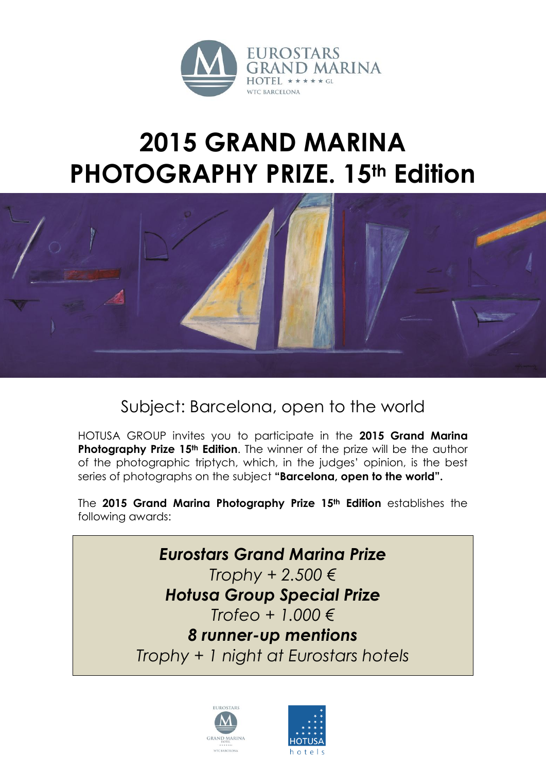

## **2015 GRAND MARINA PHOTOGRAPHY PRIZE. 15th Edition**



Subject: Barcelona, open to the world

HOTUSA GROUP invites you to participate in the **2015 Grand Marina Photography Prize 15th Edition**. The winner of the prize will be the author of the photographic triptych, which, in the judges' opinion, is the best series of photographs on the subject **"Barcelona, open to the world".**

The **2015 Grand Marina Photography Prize 15th Edition** establishes the following awards:

> *Eurostars Grand Marina Prize Trophy + 2.500 € Hotusa Group Special Prize Trofeo + 1.000 € 8 runner-up mentions Trophy + 1 night at Eurostars hotels*



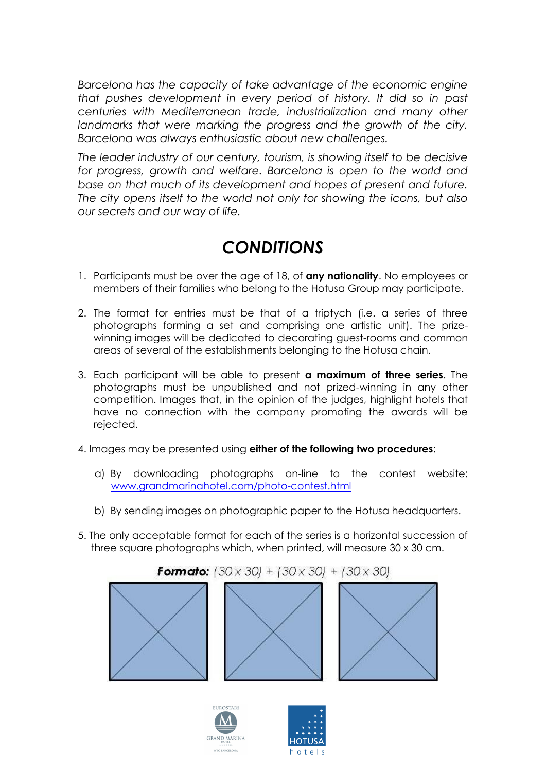*Barcelona has the capacity of take advantage of the economic engine that pushes development in every period of history. It did so in past centuries with Mediterranean trade, industrialization and many other*  landmarks that were marking the progress and the growth of the city. *Barcelona was always enthusiastic about new challenges.*

*The leader industry of our century, tourism, is showing itself to be decisive for progress, growth and welfare. Barcelona is open to the world and base on that much of its development and hopes of present and future. The city opens itself to the world not only for showing the icons, but also our secrets and our way of life.*

## *CONDITIONS*

- 1. Participants must be over the age of 18, of **any nationality**. No employees or members of their families who belong to the Hotusa Group may participate.
- 2. The format for entries must be that of a triptych (i.e. a series of three photographs forming a set and comprising one artistic unit). The prizewinning images will be dedicated to decorating guest-rooms and common areas of several of the establishments belonging to the Hotusa chain.
- 3. Each participant will be able to present **a maximum of three series**. The photographs must be unpublished and not prized-winning in any other competition. Images that, in the opinion of the judges, highlight hotels that have no connection with the company promoting the awards will be rejected.
- 4. Images may be presented using **either of the following two procedures**:
	- a) By downloading photographs on-line to the contest website: [www.grandmarinahotel.com/photo-contest.html](http://www.grandmarinahotel.com/photo-contest.html)
	- b) By sending images on photographic paper to the Hotusa headquarters.
- 5. The only acceptable format for each of the series is a horizontal succession of three square photographs which, when printed, will measure 30 x 30 cm.





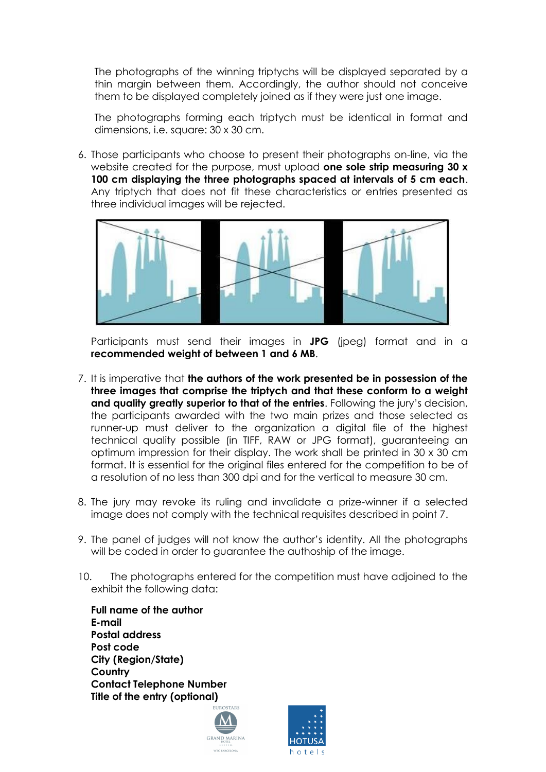The photographs of the winning triptychs will be displayed separated by a thin margin between them. Accordingly, the author should not conceive them to be displayed completely joined as if they were just one image.

The photographs forming each triptych must be identical in format and dimensions, i.e. square: 30 x 30 cm.

6. Those participants who choose to present their photographs on-line, via the website created for the purpose, must upload **one sole strip measuring 30 x 100 cm displaying the three photographs spaced at intervals of 5 cm each**. Any triptych that does not fit these characteristics or entries presented as three individual images will be rejected.



Participants must send their images in **JPG** (jpeg) format and in a **recommended weight of between 1 and 6 MB**.

- 7. It is imperative that **the authors of the work presented be in possession of the three images that comprise the triptych and that these conform to a weight and quality greatly superior to that of the entries**. Following the jury's decision, the participants awarded with the two main prizes and those selected as runner-up must deliver to the organization a digital file of the highest technical quality possible (in TIFF, RAW or JPG format), guaranteeing an optimum impression for their display. The work shall be printed in 30 x 30 cm format. It is essential for the original files entered for the competition to be of a resolution of no less than 300 dpi and for the vertical to measure 30 cm.
- 8. The jury may revoke its ruling and invalidate a prize-winner if a selected image does not comply with the technical requisites described in point 7.
- 9. The panel of judges will not know the author's identity. All the photographs will be coded in order to guarantee the authoship of the image.
- 10. The photographs entered for the competition must have adjoined to the exhibit the following data:

**Full name of the author E-mail Postal address Post code City (Region/State) Country Contact Telephone Number Title of the entry (optional)**



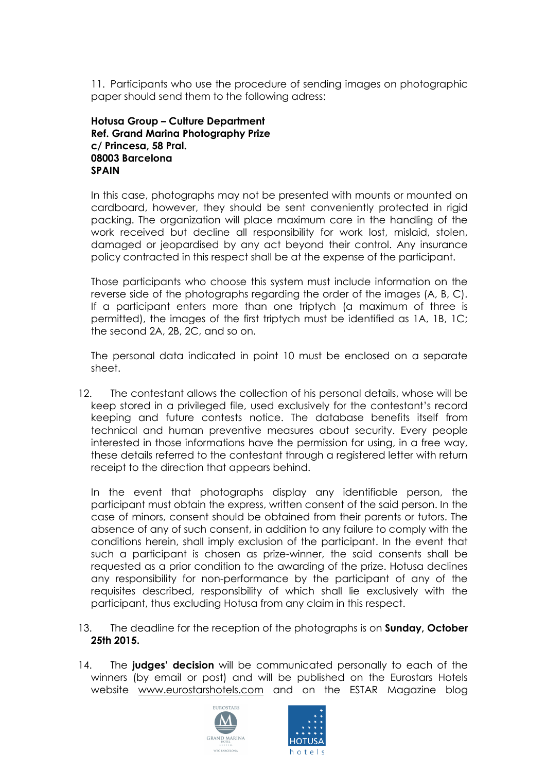11. Participants who use the procedure of sending images on photographic paper should send them to the following adress:

## **Hotusa Group – Culture Department Ref. Grand Marina Photography Prize c/ Princesa, 58 Pral. 08003 Barcelona SPAIN**

In this case, photographs may not be presented with mounts or mounted on cardboard, however, they should be sent conveniently protected in rigid packing. The organization will place maximum care in the handling of the work received but decline all responsibility for work lost, mislaid, stolen, damaged or jeopardised by any act beyond their control. Any insurance policy contracted in this respect shall be at the expense of the participant.

Those participants who choose this system must include information on the reverse side of the photographs regarding the order of the images (A, B, C). If a participant enters more than one triptych (a maximum of three is permitted), the images of the first triptych must be identified as 1A, 1B, 1C; the second 2A, 2B, 2C, and so on.

The personal data indicated in point 10 must be enclosed on a separate sheet.

12. The contestant allows the collection of his personal details, whose will be keep stored in a privileged file, used exclusively for the contestant's record keeping and future contests notice. The database benefits itself from technical and human preventive measures about security. Every people interested in those informations have the permission for using, in a free way, these details referred to the contestant through a registered letter with return receipt to the direction that appears behind.

In the event that photographs display any identifiable person, the participant must obtain the express, written consent of the said person. In the case of minors, consent should be obtained from their parents or tutors. The absence of any of such consent, in addition to any failure to comply with the conditions herein, shall imply exclusion of the participant. In the event that such a participant is chosen as prize-winner, the said consents shall be requested as a prior condition to the awarding of the prize. Hotusa declines any responsibility for non-performance by the participant of any of the requisites described, responsibility of which shall lie exclusively with the participant, thus excluding Hotusa from any claim in this respect.

- 13. The deadline for the reception of the photographs is on **Sunday, October 25th 2015.**
- 14. The **judges' decision** will be communicated personally to each of the winners (by email or post) and will be published on the Eurostars Hotels website [www.eurostarshotels.com](http://www.eurostarshotels.com/) and on the ESTAR Magazine blog



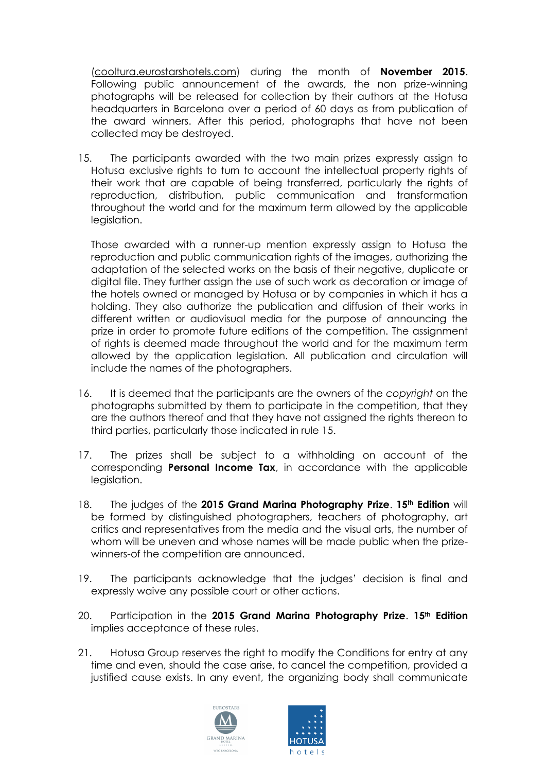[\(cooltura.eurostarshotels.com\)](http://blog.eurostarshotels.com/) during the month of **November 2015**. Following public announcement of the awards, the non prize-winning photographs will be released for collection by their authors at the Hotusa headquarters in Barcelona over a period of 60 days as from publication of the award winners. After this period, photographs that have not been collected may be destroyed.

15. The participants awarded with the two main prizes expressly assign to Hotusa exclusive rights to turn to account the intellectual property rights of their work that are capable of being transferred, particularly the rights of reproduction, distribution, public communication and transformation throughout the world and for the maximum term allowed by the applicable leaislation.

Those awarded with a runner-up mention expressly assign to Hotusa the reproduction and public communication rights of the images, authorizing the adaptation of the selected works on the basis of their negative, duplicate or digital file. They further assign the use of such work as decoration or image of the hotels owned or managed by Hotusa or by companies in which it has a holding. They also authorize the publication and diffusion of their works in different written or audiovisual media for the purpose of announcing the prize in order to promote future editions of the competition. The assignment of rights is deemed made throughout the world and for the maximum term allowed by the application legislation. All publication and circulation will include the names of the photographers.

- 16. It is deemed that the participants are the owners of the *copyright* on the photographs submitted by them to participate in the competition, that they are the authors thereof and that they have not assigned the rights thereon to third parties, particularly those indicated in rule 15.
- 17. The prizes shall be subject to a withholding on account of the corresponding **Personal Income Tax**, in accordance with the applicable legislation.
- 18. The judges of the **2015 Grand Marina Photography Prize**. **15th Edition** will be formed by distinguished photographers, teachers of photography, art critics and representatives from the media and the visual arts, the number of whom will be uneven and whose names will be made public when the prizewinners-of the competition are announced.
- 19. The participants acknowledge that the judges' decision is final and expressly waive any possible court or other actions.
- 20. Participation in the **2015 Grand Marina Photography Prize**. **15th Edition** implies acceptance of these rules.
- 21. Hotusa Group reserves the right to modify the Conditions for entry at any time and even, should the case arise, to cancel the competition, provided a justified cause exists. In any event, the organizing body shall communicate